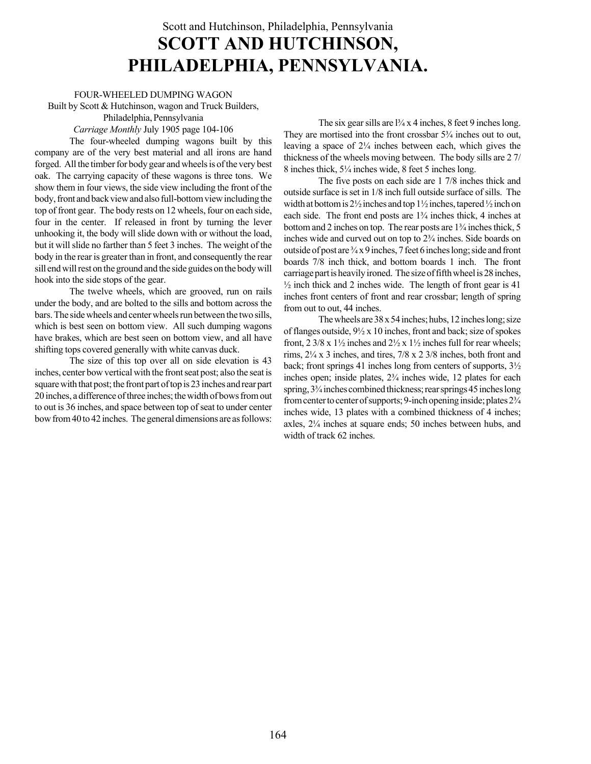## Scott and Hutchinson, Philadelphia, Pennsylvania SCOTT AND HUTCHINSON, PHILADELPHIA, PENNSYLVANIA.

FOUR-WHEELED DUMPING WAGON Built by Scott & Hutchinson, wagon and Truck Builders,

Philadelphia, Pennsylvania

Carriage Monthly July 1905 page 104-106

The four-wheeled dumping wagons built by this company are of the very best material and all irons are hand forged. All the timber for body gear and wheels is of the very best oak. The carrying capacity of these wagons is three tons. We show them in four views, the side view including the front of the body, front and back view and also full-bottom view including the top of front gear. The body rests on 12 wheels, four on each side, four in the center. If released in front by turning the lever unhooking it, the body will slide down with or without the load, but it will slide no farther than 5 feet 3 inches. The weight of the body in the rear is greater than in front, and consequently the rear sill end will rest on the ground and the side guides on the body will hook into the side stops of the gear.

The twelve wheels, which are grooved, run on rails under the body, and are bolted to the sills and bottom across the bars. The side wheels and center wheels run between the two sills, which is best seen on bottom view. All such dumping wagons have brakes, which are best seen on bottom view, and all have shifting tops covered generally with white canvas duck.

The size of this top over all on side elevation is 43 inches, center bow vertical with the front seat post; also the seat is square with that post; the front part of top is 23 inches and rear part 20 inches, a difference of three inches; the width of bows from out to out is 36 inches, and space between top of seat to under center bow from 40 to 42 inches. The general dimensions are as follows:

The six gear sills are  $\frac{1}{4}$  x 4 inches, 8 feet 9 inches long. They are mortised into the front crossbar  $5\frac{3}{4}$  inches out to out, leaving a space of  $2\frac{1}{4}$  inches between each, which gives the thickness of the wheels moving between. The body sills are 2 7/ 8 inches thick,  $5\frac{1}{4}$  inches wide, 8 feet 5 inches long.

The five posts on each side are 1 7/8 inches thick and outside surface is set in 1/8 inch full outside surface of sills. The width at bottom is  $2\frac{1}{2}$  inches and top  $1\frac{1}{2}$  inches, tapered  $\frac{1}{2}$  inch on each side. The front end posts are  $1\frac{3}{4}$  inches thick, 4 inches at bottom and 2 inches on top. The rear posts are  $1\frac{3}{4}$  inches thick, 5 inches wide and curved out on top to  $2\frac{3}{4}$  inches. Side boards on outside of post are  $\frac{3}{4}$  x 9 inches, 7 feet 6 inches long; side and front boards 7/8 inch thick, and bottom boards 1 inch. The front carriage part is heavily ironed. The size of fifth wheel is 28 inches,  $\frac{1}{2}$  inch thick and 2 inches wide. The length of front gear is 41 inches front centers of front and rear crossbar; length of spring from out to out, 44 inches.

The wheels are  $38 \times 54$  inches; hubs, 12 inches long; size of flanges outside, 9½ x 10 inches, front and back; size of spokes front,  $2 \frac{3}{8}$  x  $\frac{1}{2}$  inches and  $\frac{2}{2}$  x  $\frac{1}{2}$  inches full for rear wheels; rims,  $2\frac{1}{4}x$  3 inches, and tires,  $7/8 \times 2 \frac{3}{8}$  inches, both front and back; front springs 41 inches long from centers of supports, 3½ inches open; inside plates,  $2\frac{3}{4}$  inches wide, 12 plates for each spring,  $3\frac{3}{4}$  inches combined thickness; rear springs 45 inches long from center to center of supports; 9-inch opening inside; plates  $2\frac{3}{4}$ inches wide, 13 plates with a combined thickness of 4 inches; axles,  $2\frac{1}{4}$  inches at square ends; 50 inches between hubs, and width of track 62 inches.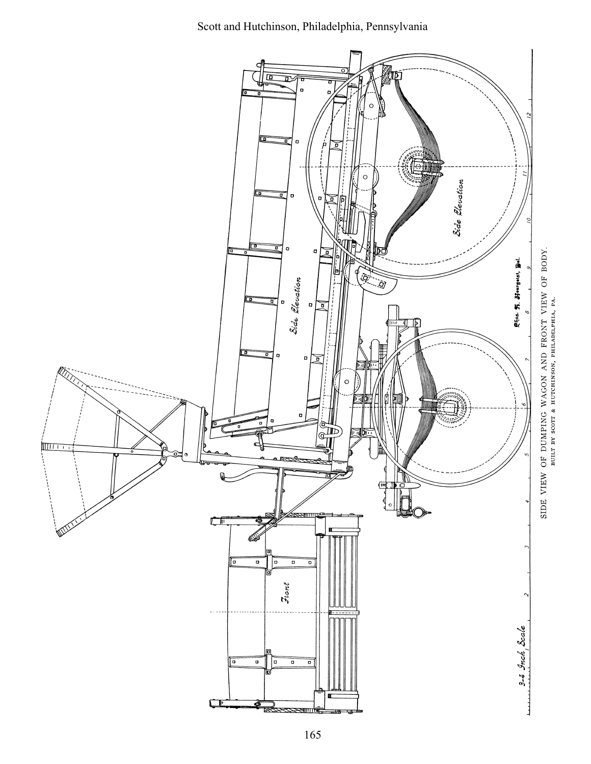Scott and Hutchinson, Philadelphia, Pennsylvania

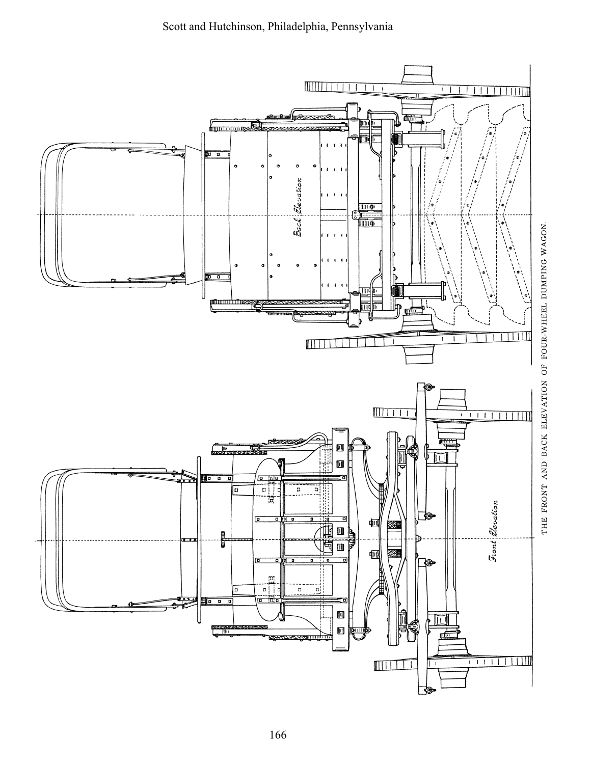

THE FRONT AND BACK ELEVATION OF FOUR-WHEEL DUMPING WAGON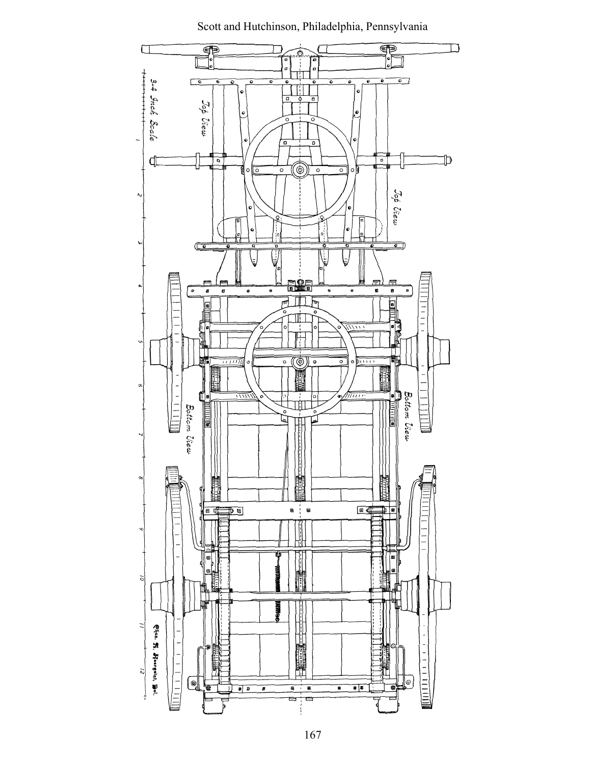

Scott and Hutchinson, Philadelphia, Pennsylvania